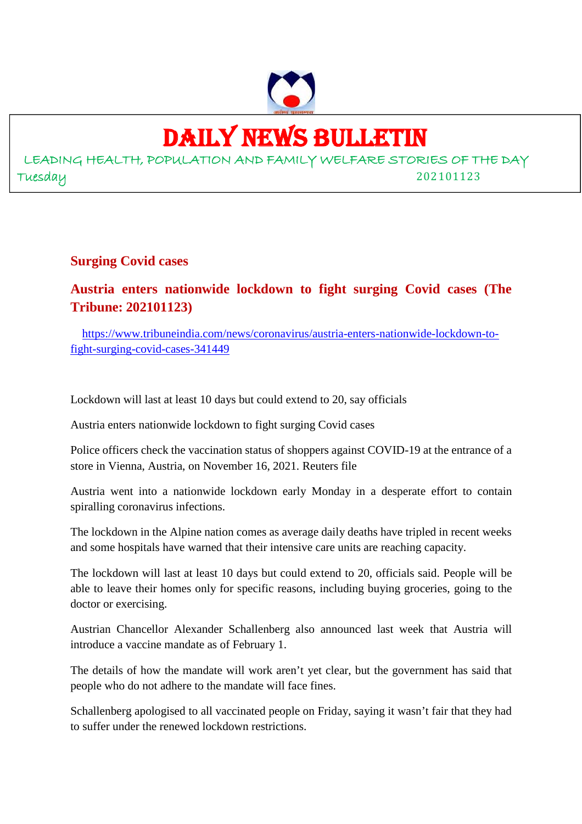

# DAILY NEWS BULLETIN

LEADING HEALTH, POPULATION AND FAMILY WELFARE STORIES OF THE DAY Tuesday 202101123

**Surging Covid cases**

# **Austria enters nationwide lockdown to fight surging Covid cases (The Tribune: 202101123)**

https://www.tribuneindia.com/news/coronavirus/austria-enters-nationwide-lockdown-tofight-surging-covid-cases-341449

Lockdown will last at least 10 days but could extend to 20, say officials

Austria enters nationwide lockdown to fight surging Covid cases

Police officers check the vaccination status of shoppers against COVID-19 at the entrance of a store in Vienna, Austria, on November 16, 2021. Reuters file

Austria went into a nationwide lockdown early Monday in a desperate effort to contain spiralling coronavirus infections.

The lockdown in the Alpine nation comes as average daily deaths have tripled in recent weeks and some hospitals have warned that their intensive care units are reaching capacity.

The lockdown will last at least 10 days but could extend to 20, officials said. People will be able to leave their homes only for specific reasons, including buying groceries, going to the doctor or exercising.

Austrian Chancellor Alexander Schallenberg also announced last week that Austria will introduce a vaccine mandate as of February 1.

The details of how the mandate will work aren't yet clear, but the government has said that people who do not adhere to the mandate will face fines.

Schallenberg apologised to all vaccinated people on Friday, saying it wasn't fair that they had to suffer under the renewed lockdown restrictions.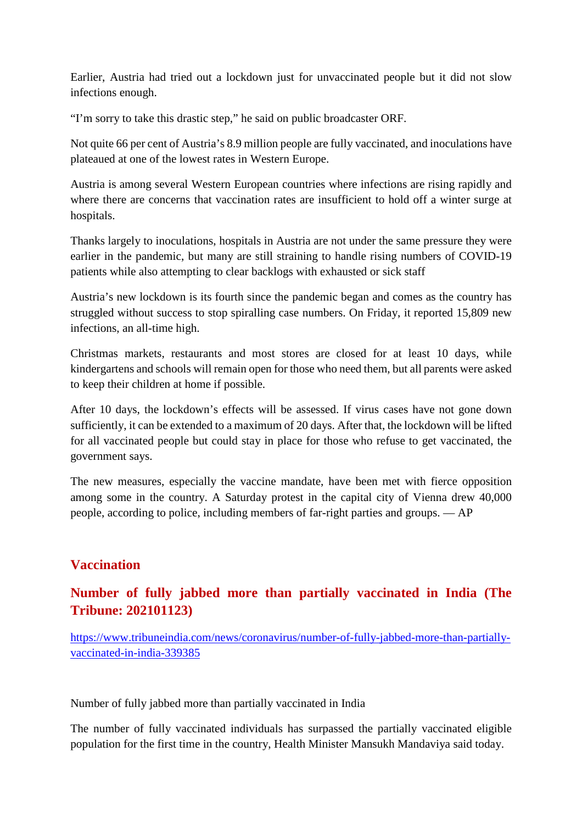Earlier, Austria had tried out a lockdown just for unvaccinated people but it did not slow infections enough.

"I'm sorry to take this drastic step," he said on public broadcaster ORF.

Not quite 66 per cent of Austria's 8.9 million people are fully vaccinated, and inoculations have plateaued at one of the lowest rates in Western Europe.

Austria is among several Western European countries where infections are rising rapidly and where there are concerns that vaccination rates are insufficient to hold off a winter surge at hospitals.

Thanks largely to inoculations, hospitals in Austria are not under the same pressure they were earlier in the pandemic, but many are still straining to handle rising numbers of COVID-19 patients while also attempting to clear backlogs with exhausted or sick staff

Austria's new lockdown is its fourth since the pandemic began and comes as the country has struggled without success to stop spiralling case numbers. On Friday, it reported 15,809 new infections, an all-time high.

Christmas markets, restaurants and most stores are closed for at least 10 days, while kindergartens and schools will remain open for those who need them, but all parents were asked to keep their children at home if possible.

After 10 days, the lockdown's effects will be assessed. If virus cases have not gone down sufficiently, it can be extended to a maximum of 20 days. After that, the lockdown will be lifted for all vaccinated people but could stay in place for those who refuse to get vaccinated, the government says.

The new measures, especially the vaccine mandate, have been met with fierce opposition among some in the country. A Saturday protest in the capital city of Vienna drew 40,000 people, according to police, including members of far-right parties and groups. — AP

# **Vaccination**

# **Number of fully jabbed more than partially vaccinated in India (The Tribune: 202101123)**

https://www.tribuneindia.com/news/coronavirus/number-of-fully-jabbed-more-than-partiallyvaccinated-in-india-339385

Number of fully jabbed more than partially vaccinated in India

The number of fully vaccinated individuals has surpassed the partially vaccinated eligible population for the first time in the country, Health Minister Mansukh Mandaviya said today.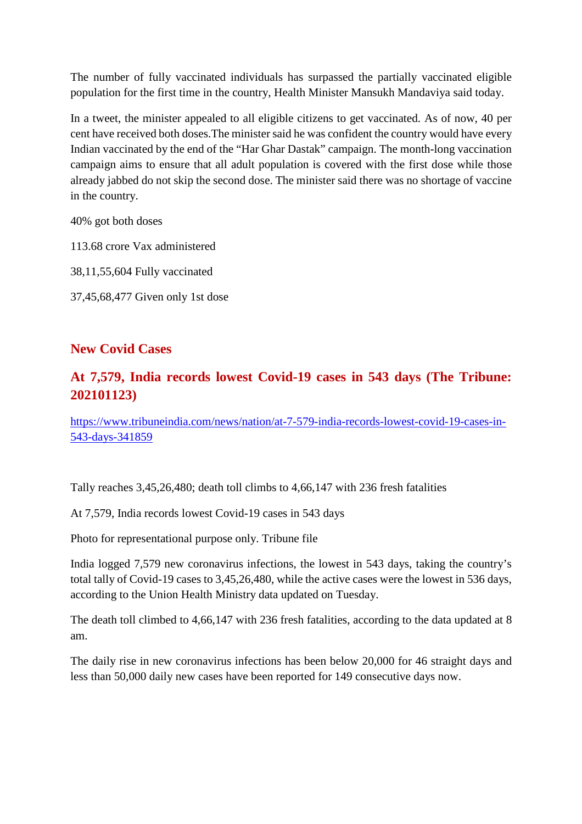The number of fully vaccinated individuals has surpassed the partially vaccinated eligible population for the first time in the country, Health Minister Mansukh Mandaviya said today.

In a tweet, the minister appealed to all eligible citizens to get vaccinated. As of now, 40 per cent have received both doses.The minister said he was confident the country would have every Indian vaccinated by the end of the "Har Ghar Dastak" campaign. The month-long vaccination campaign aims to ensure that all adult population is covered with the first dose while those already jabbed do not skip the second dose. The minister said there was no shortage of vaccine in the country.

40% got both doses

113.68 crore Vax administered

38,11,55,604 Fully vaccinated

37,45,68,477 Given only 1st dose

# **New Covid Cases**

# **At 7,579, India records lowest Covid-19 cases in 543 days (The Tribune: 202101123)**

https://www.tribuneindia.com/news/nation/at-7-579-india-records-lowest-covid-19-cases-in-543-days-341859

Tally reaches 3,45,26,480; death toll climbs to 4,66,147 with 236 fresh fatalities

At 7,579, India records lowest Covid-19 cases in 543 days

Photo for representational purpose only. Tribune file

India logged 7,579 new coronavirus infections, the lowest in 543 days, taking the country's total tally of Covid-19 cases to 3,45,26,480, while the active cases were the lowest in 536 days, according to the Union Health Ministry data updated on Tuesday.

The death toll climbed to 4,66,147 with 236 fresh fatalities, according to the data updated at 8 am.

The daily rise in new coronavirus infections has been below 20,000 for 46 straight days and less than 50,000 daily new cases have been reported for 149 consecutive days now.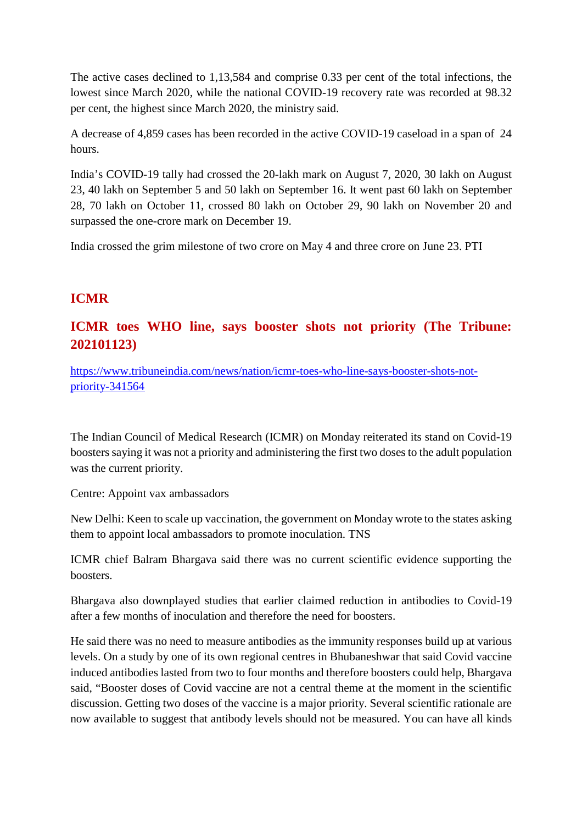The active cases declined to 1,13,584 and comprise 0.33 per cent of the total infections, the lowest since March 2020, while the national COVID-19 recovery rate was recorded at 98.32 per cent, the highest since March 2020, the ministry said.

A decrease of 4,859 cases has been recorded in the active COVID-19 caseload in a span of 24 hours.

India's COVID-19 tally had crossed the 20-lakh mark on August 7, 2020, 30 lakh on August 23, 40 lakh on September 5 and 50 lakh on September 16. It went past 60 lakh on September 28, 70 lakh on October 11, crossed 80 lakh on October 29, 90 lakh on November 20 and surpassed the one-crore mark on December 19.

India crossed the grim milestone of two crore on May 4 and three crore on June 23. PTI

# **ICMR**

# **ICMR toes WHO line, says booster shots not priority (The Tribune: 202101123)**

https://www.tribuneindia.com/news/nation/icmr-toes-who-line-says-booster-shots-notpriority-341564

The Indian Council of Medical Research (ICMR) on Monday reiterated its stand on Covid-19 boosters saying it was not a priority and administering the first two doses to the adult population was the current priority.

Centre: Appoint vax ambassadors

New Delhi: Keen to scale up vaccination, the government on Monday wrote to the states asking them to appoint local ambassadors to promote inoculation. TNS

ICMR chief Balram Bhargava said there was no current scientific evidence supporting the boosters.

Bhargava also downplayed studies that earlier claimed reduction in antibodies to Covid-19 after a few months of inoculation and therefore the need for boosters.

He said there was no need to measure antibodies as the immunity responses build up at various levels. On a study by one of its own regional centres in Bhubaneshwar that said Covid vaccine induced antibodies lasted from two to four months and therefore boosters could help, Bhargava said, "Booster doses of Covid vaccine are not a central theme at the moment in the scientific discussion. Getting two doses of the vaccine is a major priority. Several scientific rationale are now available to suggest that antibody levels should not be measured. You can have all kinds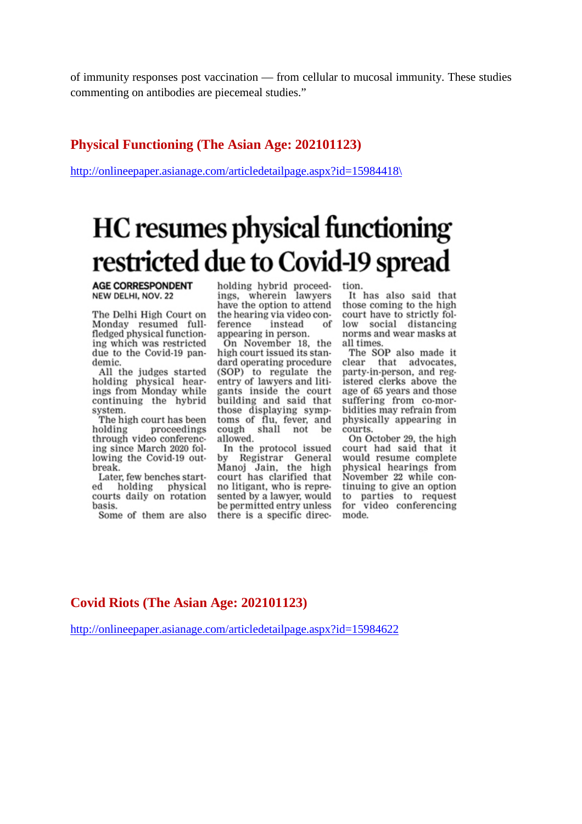of immunity responses post vaccination — from cellular to mucosal immunity. These studies commenting on antibodies are piecemeal studies."

# **Physical Functioning (The Asian Age: 202101123)**

http://onlineepaper.asianage.com/articledetailpage.aspx?id=15984418\

# HC resumes physical functioning restricted due to Covid-19 spread

**AGE CORRESPONDENT** NEW DELHI, NOV. 22

The Delhi High Court on Monday resumed fullfledged physical functioning which was restricted due to the Covid-19 pandemic.

All the judges started holding physical hearings from Monday while continuing the hybrid system.

The high court has been proceedings holding through video conferencing since March 2020 following the Covid-19 outbreak.

Later, few benches started holding physical courts daily on rotation basis.

Some of them are also

holding hybrid proceed-<br>ings, wherein lawyers have the option to attend the hearing via video conference instead of appearing in person.

On November 18, the high court issued its standard operating procedure (SOP) to regulate the entry of lawyers and litigants inside the court<br>building and said that those displaying symptoms of flu, fever, and cough shall not be allowed.

In the protocol issued by Registrar General Manoj Jain, the high court has clarified that no litigant, who is represented by a lawyer, would be permitted entry unless there is a specific direc-

tion.

It has also said that those coming to the high court have to strictly follow social distancing norms and wear masks at all times.

The SOP also made it clear that advocates. party-in-person, and registered clerks above the age of 65 years and those suffering from co-morbidities may refrain from physically appearing in courts.

On October 29, the high court had said that it would resume complete physical hearings from November 22 while continuing to give an option to parties to request<br>for video conferencing mode.

# **Covid Riots (The Asian Age: 202101123)**

http://onlineepaper.asianage.com/articledetailpage.aspx?id=15984622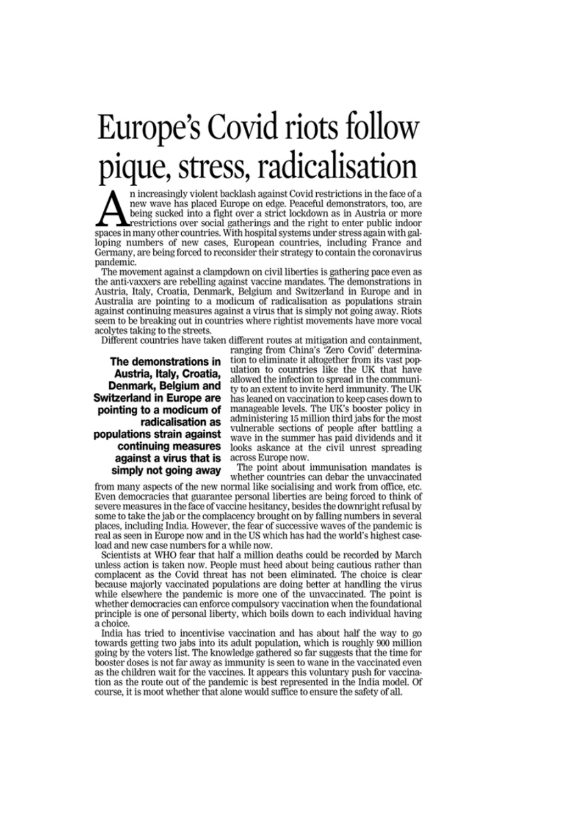# Europe's Covid riots follow pique, stress, radicalisation

n increasingly violent backlash against Covid restrictions in the face of a new wave has placed Europe on edge. Peaceful demonstrators, too, are being sucked into a fight over a strict lockdown as in Austria or more restrictions over social gatherings and the right to enter public indoor spaces in many other countries. With hospital systems under stress again with galloping numbers of new cases, European countries, including France and Germany, are being forced to reconsider their strategy to contain the coronavirus pandemic.

The movement against a clampdown on civil liberties is gathering pace even as the anti-vaxxers are rebelling against vaccine mandates. The demonstrations in Austria, Italy, Croatia, Denmark, Belgium and Switzerland in Europe and in Australia are pointing to a modicum of radicalisation as populations strain against continuing measures against a virus that is simply not going away. Riots seem to be breaking out in countries where rightist movements have more vocal acolytes taking to the streets.

Different countries have taken different routes at mitigation and containment.

The demonstrations in Austria, Italy, Croatia, Denmark, Belgium and **Switzerland in Europe are** pointing to a modicum of radicalisation as populations strain against continuing measures against a virus that is simply not going away

ranging from China's 'Zero Covid' determination to eliminate it altogether from its vast population to countries like the UK that have allowed the infection to spread in the community to an extent to invite herd immunity. The UK has leaned on vaccination to keep cases down to manageable levels. The UK's booster policy in administering 15 million third jabs for the most vulnerable sections of people after battling a wave in the summer has paid dividends and it looks askance at the civil unrest spreading across Europe now.

The point about immunisation mandates is whether countries can debar the unvaccinated

from many aspects of the new normal like socialising and work from office, etc. Even democracies that guarantee personal liberties are being forced to think of severe measures in the face of vaccine hesitancy, besides the downright refusal by some to take the jab or the complacency brought on by falling numbers in several places, including India. However, the fear of successive waves of the pandemic is real as seen in Europe now and in the US which has had the world's highest caseload and new case numbers for a while now.

Scientists at WHO fear that half a million deaths could be recorded by March unless action is taken now. People must heed about being cautious rather than complacent as the Covid threat has not been eliminated. The choice is clear because majorly vaccinated populations are doing better at handling the virus while elsewhere the pandemic is more one of the unvaccinated. The point is whether democracies can enforce compulsory vaccination when the foundational principle is one of personal liberty, which boils down to each individual having a choice.

India has tried to incentivise vaccination and has about half the way to go towards getting two jabs into its adult population, which is roughly 900 million going by the voters list. The knowledge gathered so far suggests that the time for booster doses is not far away as immunity is seen to wane in the vaccinated even as the children wait for the vaccines. It appears this voluntary push for vaccination as the route out of the pandemic is best represented in the India model. Of course, it is moot whether that alone would suffice to ensure the safety of all.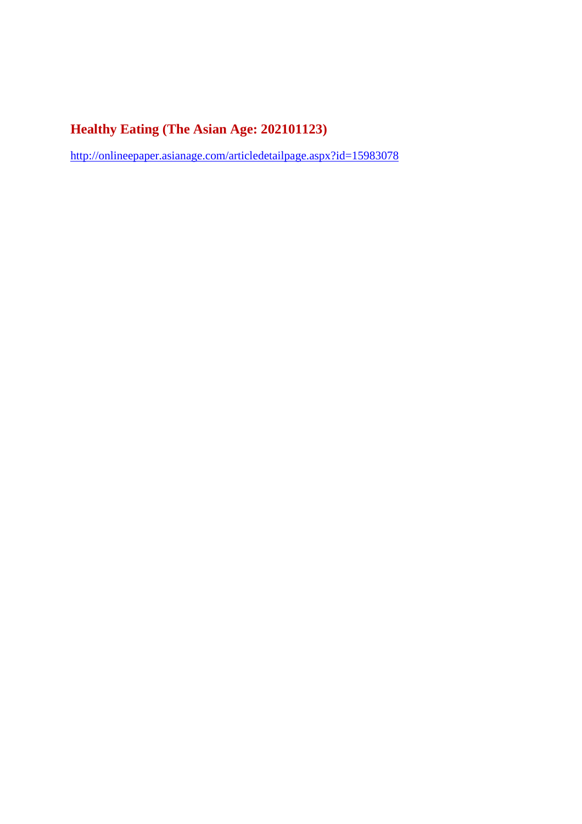# **Healthy Eating (The Asian Age: 202101123)**

http://onlineepaper.asianage.com/articledetailpage.aspx?id=15983078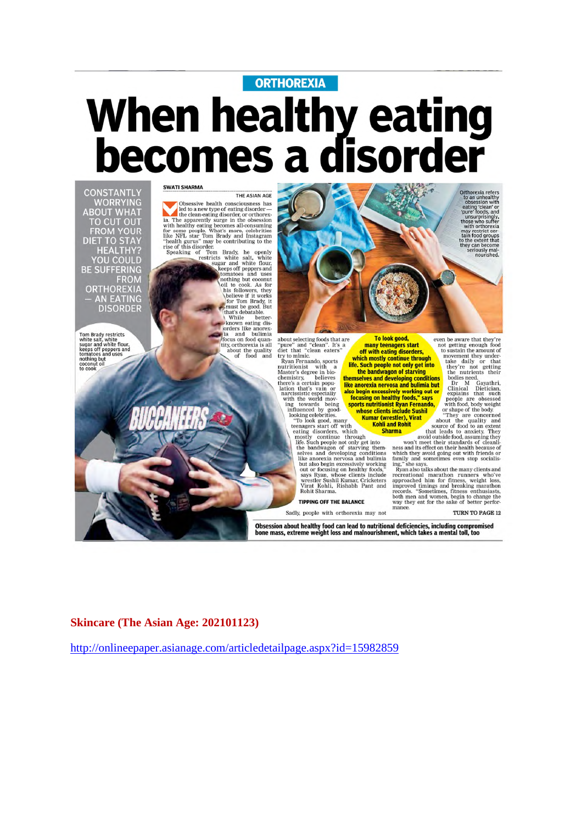# **ORTHOREXIA** When healthy eating<br>becomes a disorder



Tom Brady restricts<br>white salt, white flour,<br>sugar and white flour,<br>keeps off peppers and<br>tomatoes and uses<br>nothing but<br>coconut oil<br>to cook

**SWATI SHARMA** THE ASIAN AGE

THE ASIAN AGE<br>
led to a new type of eating disorder—<br>
ia. The apparenting disorder, or orthorex<br>
ien clean-eating disorder or orthorex<br>
with healthy eating becomes all consuming<br>
for some people. What's more, celebrities<br>

tomatoes and uses<br>nothing but cocount of the condition of the believe if it works<br>believe if it works<br>for Tom Brady, it<br>must be good. But<br>that's debatable.<br>while better-<br>while better-<br>while the conditional of the condition while better-<br>known eating dis-<br>orders like anorexia and bulimia

a and bulimia<br>
/focus on food quantity, orthorexia is all<br>
about the quality<br>
of food and

Orthorexia refers<br>to an unhealthy<br>obsession with<br>eating 'clean' or<br>pure' foots, and<br>unsurprisingly,<br>those who suffer<br>may restrict ear-<br>may restrict car-<br>that notad groups<br>to the extent that<br>they can become seriously<br>mail i about selecting foods that are<br>"pure" and "clean". It's a diet that "clean eaters" To look good, many teenagers start off with eating disorders,

about sections take the transport of the that in the same that the same that the transport of the base of the **the same in the same in the same in the base of the base of the base of the base of the <b>the morekanisty**. The

Sadly, people with orthorexia may not

Obsession about healthy food can lead to nutritional deficiencies, including compromised bone mass, extreme weight loss and malnourishment, which takes a mental toll, too

## **Skincare (The Asian Age: 202101123)**

http://onlineepaper.asianage.com/articledetailpage.aspx?id=15982859

even be aware that they're<br>not getting enough food<br>to sustain the amount of

**THEN TO PAGE 12**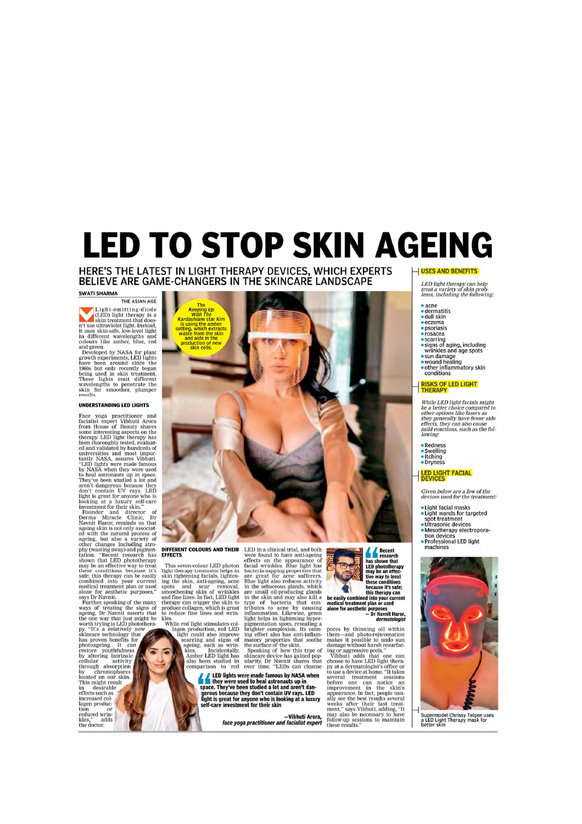# **LED TO STOP SKIN AGEING**

### HERE'S THE LATEST IN LIGHT THERAPY DEVICES, WHICH EXPERTS BELIEVE ARE GAME-CHANGERS IN THE SKINCARE LANDSCAPE

#### SWATI SHARMA

THE ASIAN AGE Light-emitting-diode<br>
(LED) light therapy is a<br>
skin treatment that does<br>
it uses skin-aste, low-level light<br>
in different wavelengths and<br>
colours like amber, blue, red

colours like amber, blue, red and green.<br>Developed by NASA for plant green.<br>growth experiments, LED lights have been around since the 1960s but only recently began<br>being used in skin treatment.<br>these lights being used in s

#### UNDERSTANDING LED LIGHTS

Face yoga practitioner and from<br>Itacialist expert Vibluti Arora from House of Beauty shares of<br>mean from House of Beauty shares some interesting aspects on the deray LED light the<br>rapy has been thoroughly tested, evaluate

increased collagen production or<br>reduced wrin-<br>kles," adds<br>the doctor.



**DIFFERENT COLOURS AND THEIR** LED in a clinical trial, and both<br> **EFFECTS**<br>
were found to have anti-ageing<br>
This seven-colour LED photon facial wrinkles. Blue light that<br>
alth theray treatment helps in basteria-zapping pro

**Example 15 and 16 and 16 and 16 and 16 and 16 and 16 and 16 and 17 and 18 and 17 and 18 and 18 and 18 and 18 and 18 and 18 and 18 and 18 and 18 and 18 and 18 and 18 and 18 and 18 and 18 and 18 and 18 and 18 and 18 and 18** 

-Vibhuti Arora,<br>face yoga practitioner and facialist expert

Recent<br>
Mass from that<br>
the phototherapy<br>
may be an effec-<br>
the phototherapy<br>
tive way to treat<br>
these conditions<br>
this therapy can<br>
the secaly combined into your current<br>
done for assthetic purposes<br>
Dr Navnit Haror,<br>
Dr



**CONSIDENT CONSIDERATIVE CONSIDERATIVE CONSIDERATIONS (CONSIDERATIVE)**<br>them—and photo-rejuveration and them and proper alternation in the state of the comparison in the consequence of those to have LED light theraby at a d

#### $\Box$  USES AND BENEFITS

# LED light therapy can help<br>treat a variety of skin prob-<br>lems, including the following:

- $\bullet$  acne
- · dermatitis<br>• dull skin
- $eczema$

#### · psoriasis  $$

- 
- 
- 
- rosacea<br>• scarring<br>• signs of aging, including<br>• wrinkles and age spots<br>• wound healing<br>• other inflammatory skin<br>• other inflammatory skin

# **RISKS OF LED LIGHT**<br>THERAPY

While LED light facials might While LED Ignt factails might<br>be a better choice compared to<br>other options like lasers as<br>they generally have fewer side<br>effects, they can also cause<br>mild reactions, such as the fol-<br>lowing:

- **Redness**
- Swelling<br>• Itching
- · Dryness

# **LED LIGHT FACIAL**<br>DEVICES

Given below are a few of the<br>devices used for the treatment:

- 
- 
- 

- Light facial masks<br>• Light wands for targeted<br>• Spot treatment<br>• Mesotherapy electropora-<br>• Mesotherapy electropora-<br>• Professional LED light<br>• machines
- 



Supermodel Chrissy Teigen uses<br>a LED Light Therapy mask for<br>better skin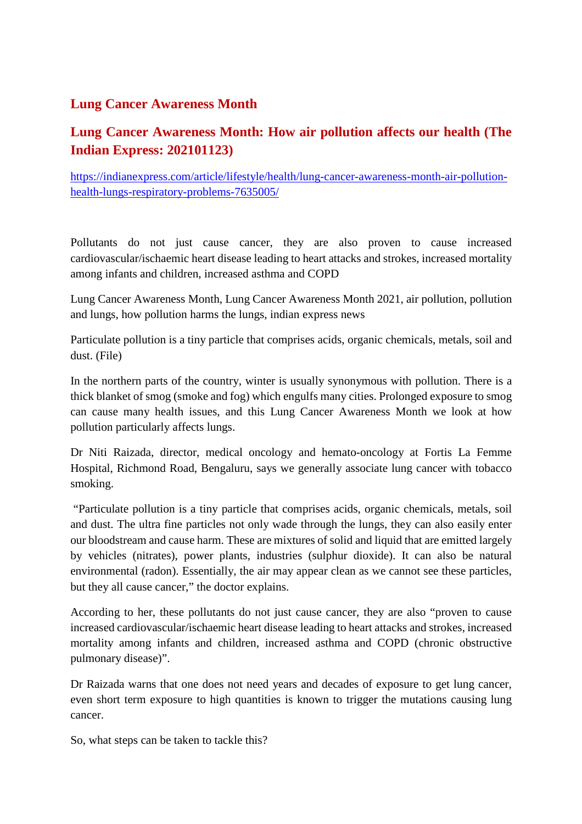# **Lung Cancer Awareness Month**

# **Lung Cancer Awareness Month: How air pollution affects our health (The Indian Express: 202101123)**

https://indianexpress.com/article/lifestyle/health/lung-cancer-awareness-month-air-pollutionhealth-lungs-respiratory-problems-7635005/

Pollutants do not just cause cancer, they are also proven to cause increased cardiovascular/ischaemic heart disease leading to heart attacks and strokes, increased mortality among infants and children, increased asthma and COPD

Lung Cancer Awareness Month, Lung Cancer Awareness Month 2021, air pollution, pollution and lungs, how pollution harms the lungs, indian express news

Particulate pollution is a tiny particle that comprises acids, organic chemicals, metals, soil and dust. (File)

In the northern parts of the country, winter is usually synonymous with pollution. There is a thick blanket of smog (smoke and fog) which engulfs many cities. Prolonged exposure to smog can cause many health issues, and this Lung Cancer Awareness Month we look at how pollution particularly affects lungs.

Dr Niti Raizada, director, medical oncology and hemato-oncology at Fortis La Femme Hospital, Richmond Road, Bengaluru, says we generally associate lung cancer with tobacco smoking.

"Particulate pollution is a tiny particle that comprises acids, organic chemicals, metals, soil and dust. The ultra fine particles not only wade through the lungs, they can also easily enter our bloodstream and cause harm. These are mixtures of solid and liquid that are emitted largely by vehicles (nitrates), power plants, industries (sulphur dioxide). It can also be natural environmental (radon). Essentially, the air may appear clean as we cannot see these particles, but they all cause cancer," the doctor explains.

According to her, these pollutants do not just cause cancer, they are also "proven to cause increased cardiovascular/ischaemic heart disease leading to heart attacks and strokes, increased mortality among infants and children, increased asthma and COPD (chronic obstructive pulmonary disease)".

Dr Raizada warns that one does not need years and decades of exposure to get lung cancer, even short term exposure to high quantities is known to trigger the mutations causing lung cancer.

So, what steps can be taken to tackle this?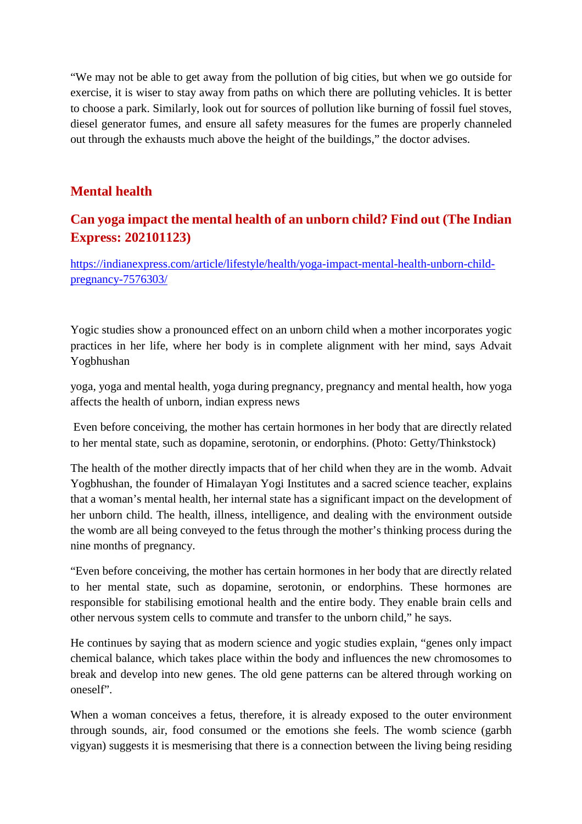"We may not be able to get away from the pollution of big cities, but when we go outside for exercise, it is wiser to stay away from paths on which there are polluting vehicles. It is better to choose a park. Similarly, look out for sources of pollution like burning of fossil fuel stoves, diesel generator fumes, and ensure all safety measures for the fumes are properly channeled out through the exhausts much above the height of the buildings," the doctor advises.

# **Mental health**

# **Can yoga impact the mental health of an unborn child? Find out (The Indian Express: 202101123)**

https://indianexpress.com/article/lifestyle/health/yoga-impact-mental-health-unborn-childpregnancy-7576303/

Yogic studies show a pronounced effect on an unborn child when a mother incorporates yogic practices in her life, where her body is in complete alignment with her mind, says Advait Yogbhushan

yoga, yoga and mental health, yoga during pregnancy, pregnancy and mental health, how yoga affects the health of unborn, indian express news

Even before conceiving, the mother has certain hormones in her body that are directly related to her mental state, such as dopamine, serotonin, or endorphins. (Photo: Getty/Thinkstock)

The health of the mother directly impacts that of her child when they are in the womb. Advait Yogbhushan, the founder of Himalayan Yogi Institutes and a sacred science teacher, explains that a woman's mental health, her internal state has a significant impact on the development of her unborn child. The health, illness, intelligence, and dealing with the environment outside the womb are all being conveyed to the fetus through the mother's thinking process during the nine months of pregnancy.

"Even before conceiving, the mother has certain hormones in her body that are directly related to her mental state, such as dopamine, serotonin, or endorphins. These hormones are responsible for stabilising emotional health and the entire body. They enable brain cells and other nervous system cells to commute and transfer to the unborn child," he says.

He continues by saying that as modern science and yogic studies explain, "genes only impact chemical balance, which takes place within the body and influences the new chromosomes to break and develop into new genes. The old gene patterns can be altered through working on oneself".

When a woman conceives a fetus, therefore, it is already exposed to the outer environment through sounds, air, food consumed or the emotions she feels. The womb science (garbh vigyan) suggests it is mesmerising that there is a connection between the living being residing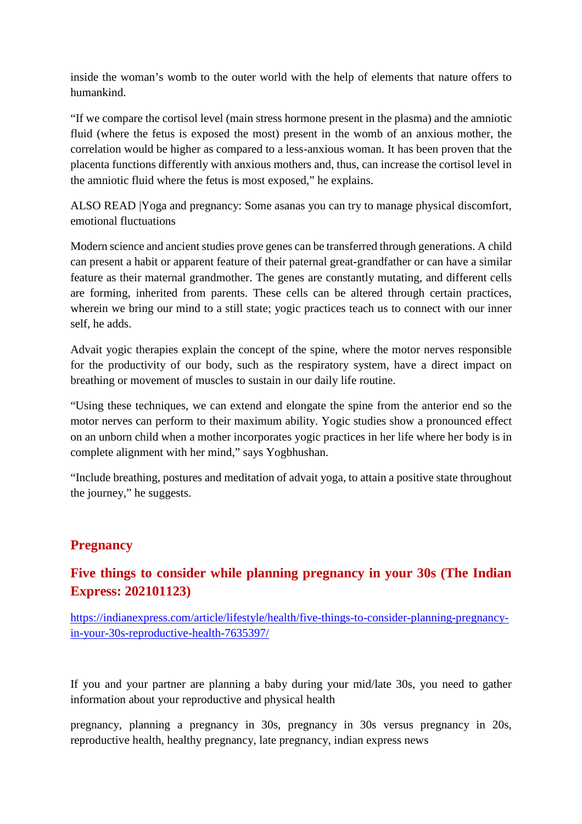inside the woman's womb to the outer world with the help of elements that nature offers to humankind.

"If we compare the cortisol level (main stress hormone present in the plasma) and the amniotic fluid (where the fetus is exposed the most) present in the womb of an anxious mother, the correlation would be higher as compared to a less-anxious woman. It has been proven that the placenta functions differently with anxious mothers and, thus, can increase the cortisol level in the amniotic fluid where the fetus is most exposed," he explains.

ALSO READ |Yoga and pregnancy: Some asanas you can try to manage physical discomfort, emotional fluctuations

Modern science and ancient studies prove genes can be transferred through generations. A child can present a habit or apparent feature of their paternal great-grandfather or can have a similar feature as their maternal grandmother. The genes are constantly mutating, and different cells are forming, inherited from parents. These cells can be altered through certain practices, wherein we bring our mind to a still state; yogic practices teach us to connect with our inner self, he adds.

Advait yogic therapies explain the concept of the spine, where the motor nerves responsible for the productivity of our body, such as the respiratory system, have a direct impact on breathing or movement of muscles to sustain in our daily life routine.

"Using these techniques, we can extend and elongate the spine from the anterior end so the motor nerves can perform to their maximum ability. Yogic studies show a pronounced effect on an unborn child when a mother incorporates yogic practices in her life where her body is in complete alignment with her mind," says Yogbhushan.

"Include breathing, postures and meditation of advait yoga, to attain a positive state throughout the journey," he suggests.

# **Pregnancy**

# **Five things to consider while planning pregnancy in your 30s (The Indian Express: 202101123)**

https://indianexpress.com/article/lifestyle/health/five-things-to-consider-planning-pregnancyin-your-30s-reproductive-health-7635397/

If you and your partner are planning a baby during your mid/late 30s, you need to gather information about your reproductive and physical health

pregnancy, planning a pregnancy in 30s, pregnancy in 30s versus pregnancy in 20s, reproductive health, healthy pregnancy, late pregnancy, indian express news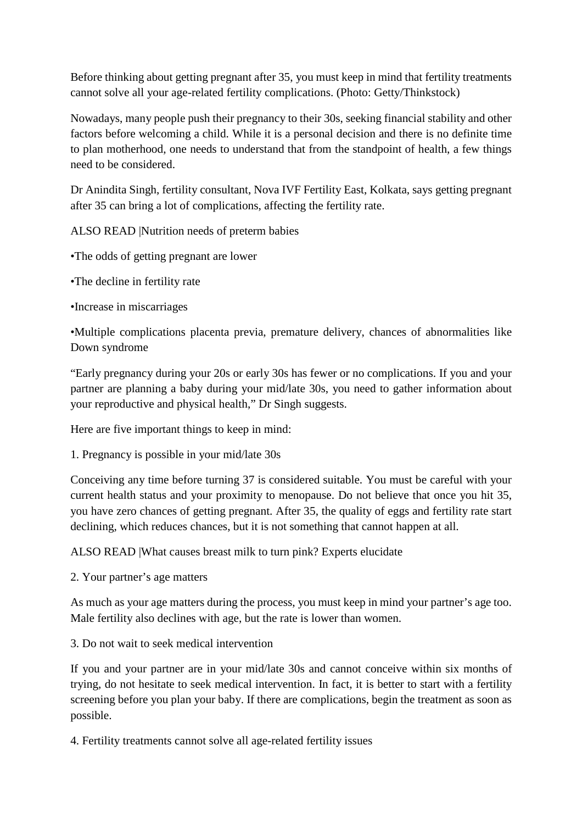Before thinking about getting pregnant after 35, you must keep in mind that fertility treatments cannot solve all your age-related fertility complications. (Photo: Getty/Thinkstock)

Nowadays, many people push their pregnancy to their 30s, seeking financial stability and other factors before welcoming a child. While it is a personal decision and there is no definite time to plan motherhood, one needs to understand that from the standpoint of health, a few things need to be considered.

Dr Anindita Singh, fertility consultant, Nova IVF Fertility East, Kolkata, says getting pregnant after 35 can bring a lot of complications, affecting the fertility rate.

ALSO READ |Nutrition needs of preterm babies

•The odds of getting pregnant are lower

•The decline in fertility rate

•Increase in miscarriages

•Multiple complications placenta previa, premature delivery, chances of abnormalities like Down syndrome

"Early pregnancy during your 20s or early 30s has fewer or no complications. If you and your partner are planning a baby during your mid/late 30s, you need to gather information about your reproductive and physical health," Dr Singh suggests.

Here are five important things to keep in mind:

1. Pregnancy is possible in your mid/late 30s

Conceiving any time before turning 37 is considered suitable. You must be careful with your current health status and your proximity to menopause. Do not believe that once you hit 35, you have zero chances of getting pregnant. After 35, the quality of eggs and fertility rate start declining, which reduces chances, but it is not something that cannot happen at all.

ALSO READ |What causes breast milk to turn pink? Experts elucidate

2. Your partner's age matters

As much as your age matters during the process, you must keep in mind your partner's age too. Male fertility also declines with age, but the rate is lower than women.

3. Do not wait to seek medical intervention

If you and your partner are in your mid/late 30s and cannot conceive within six months of trying, do not hesitate to seek medical intervention. In fact, it is better to start with a fertility screening before you plan your baby. If there are complications, begin the treatment as soon as possible.

4. Fertility treatments cannot solve all age-related fertility issues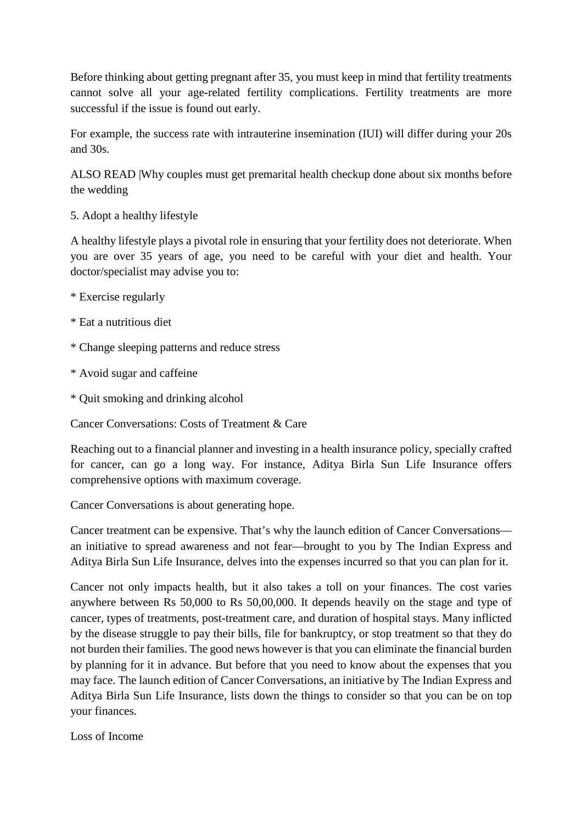Before thinking about getting pregnant after 35, you must keep in mind that fertility treatments cannot solve all your age-related fertility complications. Fertility treatments are more successful if the issue is found out early.

For example, the success rate with intrauterine insemination (IUI) will differ during your 20s and 30s.

ALSO READ |Why couples must get premarital health checkup done about six months before the wedding

5. Adopt a healthy lifestyle

A healthy lifestyle plays a pivotal role in ensuring that your fertility does not deteriorate. When you are over 35 years of age, you need to be careful with your diet and health. Your doctor/specialist may advise you to:

- \* Exercise regularly
- \* Eat a nutritious diet
- \* Change sleeping patterns and reduce stress
- \* Avoid sugar and caffeine
- \* Quit smoking and drinking alcohol

Cancer Conversations: Costs of Treatment & Care

Reaching out to a financial planner and investing in a health insurance policy, specially crafted for cancer, can go a long way. For instance, Aditya Birla Sun Life Insurance offers comprehensive options with maximum coverage.

Cancer Conversations is about generating hope.

Cancer treatment can be expensive. That's why the launch edition of Cancer Conversations an initiative to spread awareness and not fear—brought to you by The Indian Express and Aditya Birla Sun Life Insurance, delves into the expenses incurred so that you can plan for it.

Cancer not only impacts health, but it also takes a toll on your finances. The cost varies anywhere between Rs 50,000 to Rs 50,00,000. It depends heavily on the stage and type of cancer, types of treatments, post-treatment care, and duration of hospital stays. Many inflicted by the disease struggle to pay their bills, file for bankruptcy, or stop treatment so that they do not burden their families. The good news however is that you can eliminate the financial burden by planning for it in advance. But before that you need to know about the expenses that you may face. The launch edition of Cancer Conversations, an initiative by The Indian Express and Aditya Birla Sun Life Insurance, lists down the things to consider so that you can be on top your finances.

Loss of Income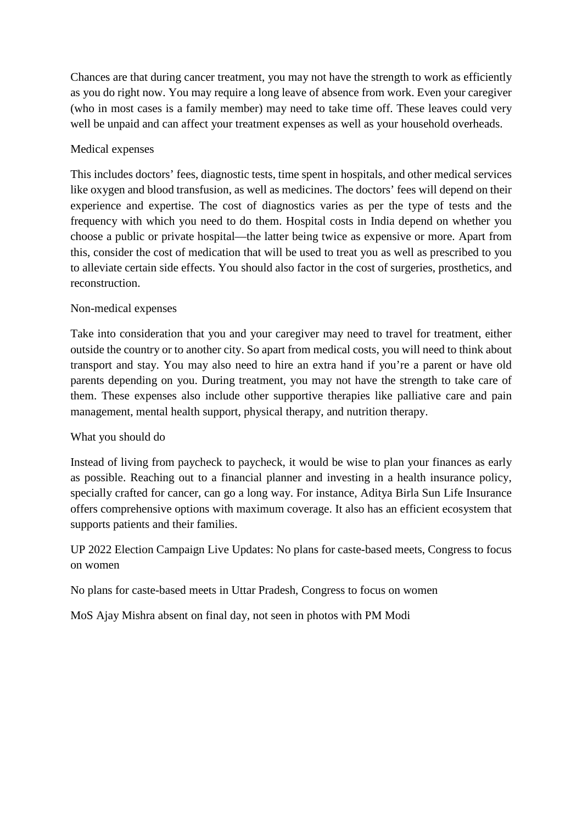Chances are that during cancer treatment, you may not have the strength to work as efficiently as you do right now. You may require a long leave of absence from work. Even your caregiver (who in most cases is a family member) may need to take time off. These leaves could very well be unpaid and can affect your treatment expenses as well as your household overheads.

# Medical expenses

This includes doctors' fees, diagnostic tests, time spent in hospitals, and other medical services like oxygen and blood transfusion, as well as medicines. The doctors' fees will depend on their experience and expertise. The cost of diagnostics varies as per the type of tests and the frequency with which you need to do them. Hospital costs in India depend on whether you choose a public or private hospital—the latter being twice as expensive or more. Apart from this, consider the cost of medication that will be used to treat you as well as prescribed to you to alleviate certain side effects. You should also factor in the cost of surgeries, prosthetics, and reconstruction.

# Non-medical expenses

Take into consideration that you and your caregiver may need to travel for treatment, either outside the country or to another city. So apart from medical costs, you will need to think about transport and stay. You may also need to hire an extra hand if you're a parent or have old parents depending on you. During treatment, you may not have the strength to take care of them. These expenses also include other supportive therapies like palliative care and pain management, mental health support, physical therapy, and nutrition therapy.

# What you should do

Instead of living from paycheck to paycheck, it would be wise to plan your finances as early as possible. Reaching out to a financial planner and investing in a health insurance policy, specially crafted for cancer, can go a long way. For instance, Aditya Birla Sun Life Insurance offers comprehensive options with maximum coverage. It also has an efficient ecosystem that supports patients and their families.

UP 2022 Election Campaign Live Updates: No plans for caste-based meets, Congress to focus on women

No plans for caste-based meets in Uttar Pradesh, Congress to focus on women

MoS Ajay Mishra absent on final day, not seen in photos with PM Modi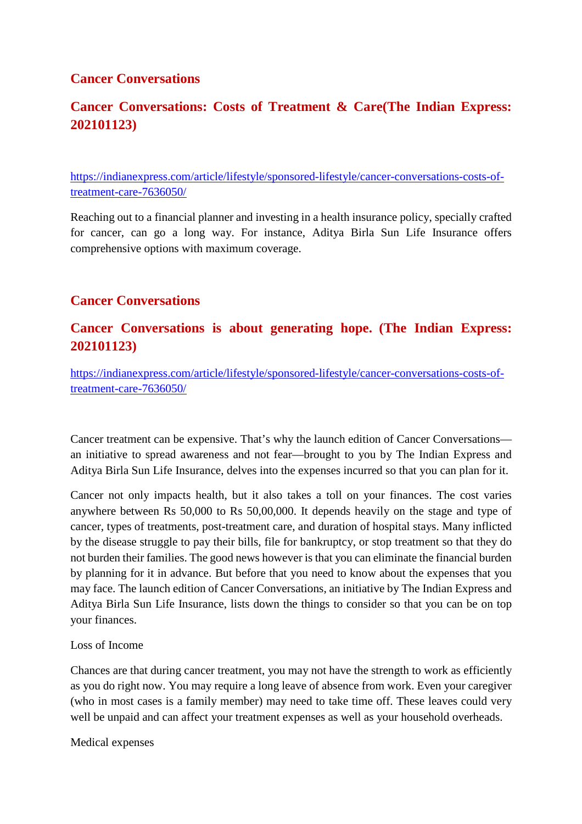# **Cancer Conversations**

# **Cancer Conversations: Costs of Treatment & Care(The Indian Express: 202101123)**

https://indianexpress.com/article/lifestyle/sponsored-lifestyle/cancer-conversations-costs-oftreatment-care-7636050/

Reaching out to a financial planner and investing in a health insurance policy, specially crafted for cancer, can go a long way. For instance, Aditya Birla Sun Life Insurance offers comprehensive options with maximum coverage.

# **Cancer Conversations**

# **Cancer Conversations is about generating hope. (The Indian Express: 202101123)**

https://indianexpress.com/article/lifestyle/sponsored-lifestyle/cancer-conversations-costs-oftreatment-care-7636050/

Cancer treatment can be expensive. That's why the launch edition of Cancer Conversations an initiative to spread awareness and not fear—brought to you by The Indian Express and Aditya Birla Sun Life Insurance, delves into the expenses incurred so that you can plan for it.

Cancer not only impacts health, but it also takes a toll on your finances. The cost varies anywhere between Rs 50,000 to Rs 50,00,000. It depends heavily on the stage and type of cancer, types of treatments, post-treatment care, and duration of hospital stays. Many inflicted by the disease struggle to pay their bills, file for bankruptcy, or stop treatment so that they do not burden their families. The good news however is that you can eliminate the financial burden by planning for it in advance. But before that you need to know about the expenses that you may face. The launch edition of Cancer Conversations, an initiative by The Indian Express and Aditya Birla Sun Life Insurance, lists down the things to consider so that you can be on top your finances.

## Loss of Income

Chances are that during cancer treatment, you may not have the strength to work as efficiently as you do right now. You may require a long leave of absence from work. Even your caregiver (who in most cases is a family member) may need to take time off. These leaves could very well be unpaid and can affect your treatment expenses as well as your household overheads.

Medical expenses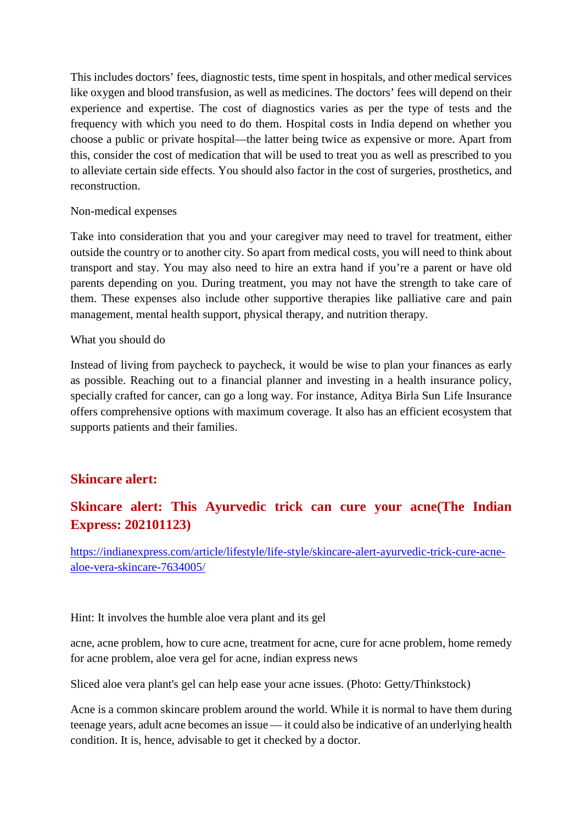This includes doctors' fees, diagnostic tests, time spent in hospitals, and other medical services like oxygen and blood transfusion, as well as medicines. The doctors' fees will depend on their experience and expertise. The cost of diagnostics varies as per the type of tests and the frequency with which you need to do them. Hospital costs in India depend on whether you choose a public or private hospital—the latter being twice as expensive or more. Apart from this, consider the cost of medication that will be used to treat you as well as prescribed to you to alleviate certain side effects. You should also factor in the cost of surgeries, prosthetics, and reconstruction.

## Non-medical expenses

Take into consideration that you and your caregiver may need to travel for treatment, either outside the country or to another city. So apart from medical costs, you will need to think about transport and stay. You may also need to hire an extra hand if you're a parent or have old parents depending on you. During treatment, you may not have the strength to take care of them. These expenses also include other supportive therapies like palliative care and pain management, mental health support, physical therapy, and nutrition therapy.

## What you should do

Instead of living from paycheck to paycheck, it would be wise to plan your finances as early as possible. Reaching out to a financial planner and investing in a health insurance policy, specially crafted for cancer, can go a long way. For instance, Aditya Birla Sun Life Insurance offers comprehensive options with maximum coverage. It also has an efficient ecosystem that supports patients and their families.

# **Skincare alert:**

# **Skincare alert: This Ayurvedic trick can cure your acne(The Indian Express: 202101123)**

https://indianexpress.com/article/lifestyle/life-style/skincare-alert-ayurvedic-trick-cure-acnealoe-vera-skincare-7634005/

Hint: It involves the humble aloe vera plant and its gel

acne, acne problem, how to cure acne, treatment for acne, cure for acne problem, home remedy for acne problem, aloe vera gel for acne, indian express news

Sliced aloe vera plant's gel can help ease your acne issues. (Photo: Getty/Thinkstock)

Acne is a common skincare problem around the world. While it is normal to have them during teenage years, adult acne becomes an issue — it could also be indicative of an underlying health condition. It is, hence, advisable to get it checked by a doctor.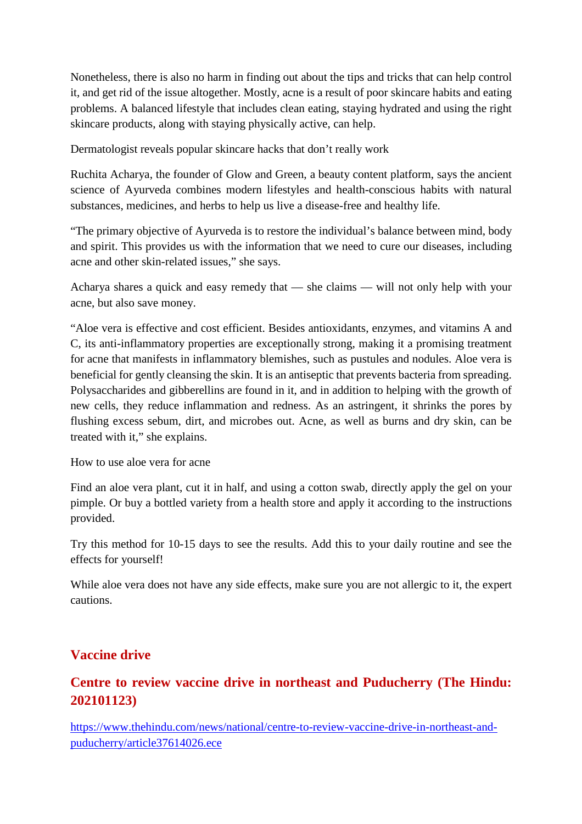Nonetheless, there is also no harm in finding out about the tips and tricks that can help control it, and get rid of the issue altogether. Mostly, acne is a result of poor skincare habits and eating problems. A balanced lifestyle that includes clean eating, staying hydrated and using the right skincare products, along with staying physically active, can help.

Dermatologist reveals popular skincare hacks that don't really work

Ruchita Acharya, the founder of Glow and Green, a beauty content platform, says the ancient science of Ayurveda combines modern lifestyles and health-conscious habits with natural substances, medicines, and herbs to help us live a disease-free and healthy life.

"The primary objective of Ayurveda is to restore the individual's balance between mind, body and spirit. This provides us with the information that we need to cure our diseases, including acne and other skin-related issues," she says.

Acharya shares a quick and easy remedy that — she claims — will not only help with your acne, but also save money.

"Aloe vera is effective and cost efficient. Besides antioxidants, enzymes, and vitamins A and C, its anti-inflammatory properties are exceptionally strong, making it a promising treatment for acne that manifests in inflammatory blemishes, such as pustules and nodules. Aloe vera is beneficial for gently cleansing the skin. It is an antiseptic that prevents bacteria from spreading. Polysaccharides and gibberellins are found in it, and in addition to helping with the growth of new cells, they reduce inflammation and redness. As an astringent, it shrinks the pores by flushing excess sebum, dirt, and microbes out. Acne, as well as burns and dry skin, can be treated with it," she explains.

How to use aloe vera for acne

Find an aloe vera plant, cut it in half, and using a cotton swab, directly apply the gel on your pimple. Or buy a bottled variety from a health store and apply it according to the instructions provided.

Try this method for 10-15 days to see the results. Add this to your daily routine and see the effects for yourself!

While aloe vera does not have any side effects, make sure you are not allergic to it, the expert cautions.

# **Vaccine drive**

# **Centre to review vaccine drive in northeast and Puducherry (The Hindu: 202101123)**

https://www.thehindu.com/news/national/centre-to-review-vaccine-drive-in-northeast-andpuducherry/article37614026.ece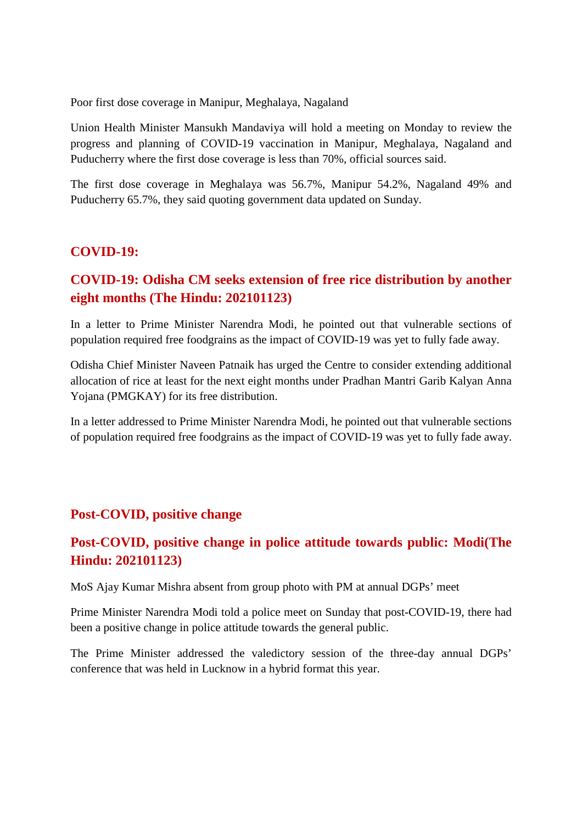Poor first dose coverage in Manipur, Meghalaya, Nagaland

Union Health Minister Mansukh Mandaviya will hold a meeting on Monday to review the progress and planning of COVID-19 vaccination in Manipur, Meghalaya, Nagaland and Puducherry where the first dose coverage is less than 70%, official sources said.

The first dose coverage in Meghalaya was 56.7%, Manipur 54.2%, Nagaland 49% and Puducherry 65.7%, they said quoting government data updated on Sunday.

# **COVID-19:**

# **COVID-19: Odisha CM seeks extension of free rice distribution by another eight months (The Hindu: 202101123)**

In a letter to Prime Minister Narendra Modi, he pointed out that vulnerable sections of population required free foodgrains as the impact of COVID-19 was yet to fully fade away.

Odisha Chief Minister Naveen Patnaik has urged the Centre to consider extending additional allocation of rice at least for the next eight months under Pradhan Mantri Garib Kalyan Anna Yojana (PMGKAY) for its free distribution.

In a letter addressed to Prime Minister Narendra Modi, he pointed out that vulnerable sections of population required free foodgrains as the impact of COVID-19 was yet to fully fade away.

# **Post-COVID, positive change**

# **Post-COVID, positive change in police attitude towards public: Modi(The Hindu: 202101123)**

MoS Ajay Kumar Mishra absent from group photo with PM at annual DGPs' meet

Prime Minister Narendra Modi told a police meet on Sunday that post-COVID-19, there had been a positive change in police attitude towards the general public.

The Prime Minister addressed the valedictory session of the three-day annual DGPs' conference that was held in Lucknow in a hybrid format this year.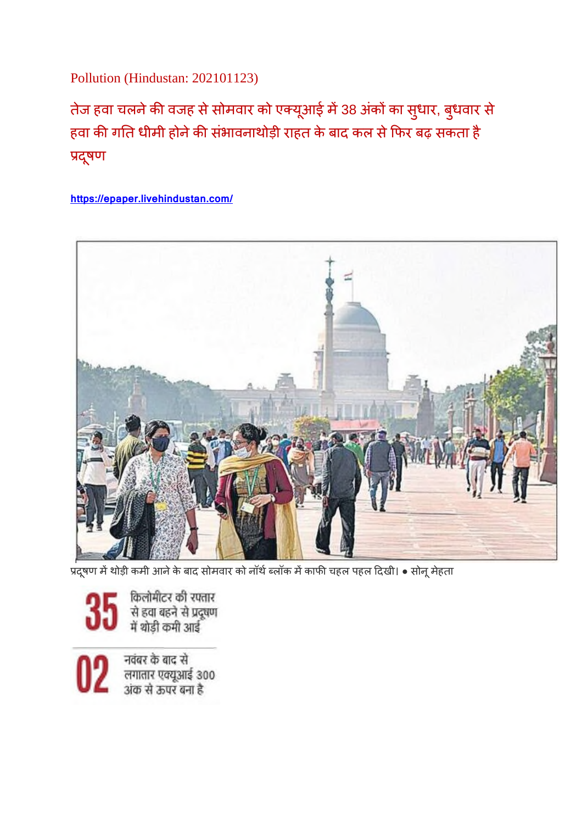Pollution (Hindustan: 202101123)

तेज हवा चलने की वजह से सोमवार को एक्यूआई में 38 अंकों का सुधार, बुधवार से हवा की गति धीमी होने की संभावनाथोड़ी राहत के बाद कल से फिर बढ़ सकता है प्रदूषण

**https://epaper.livehindustan.com/**



प्रदूषण में थोड़ी कमी आने के बाद सोमवार को नॉर्थ ब्लॉक में काफी चहल पहल दिखी। • सोनू मेहता

किलोमीटर की रफ्तार र<br>से हवा बहने से प्रदूषण<br>में थोड़ी कमी आई

नवंबर के बाद से लगातार एक्यूआई 300<br>अंक से ऊपर बना है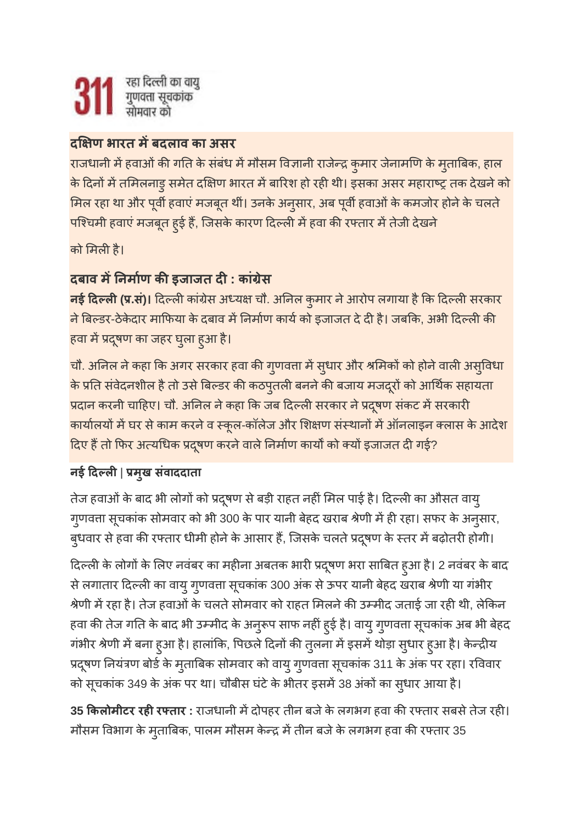# **द ण भारत मबदलाव का असर**

राजधानी में हवाओं की गति के संबंध में मौसम विज्ञानी राजेन्द्र कुमार जेनामणि के मुताबिक, हाल के दिनों में तमिलनाडु समेत दक्षिण भारत में बारिश हो रही थी। इसका असर महाराष्ट्र तक देखने को मिल रहा था और पूर्वी हवाएं मजबूत थीं। उनके अनुसार, अब पूर्वी हवाओं के कमजोर होने के चलते पश्चिमी हवाएं मजबूत हुई हैं, जिसके कारण दिल्ली में हवा की रफ्तार में तेजी देखने

को मिली है।

# **दबाव मनमाण कइजाजत द: कां ेस**

<mark>र्नई दिल्ली (प्र.सं)।</mark> दिल्ली कांग्रेस अध्यक्ष चौ. अनिल कुमार ने आरोप लगाया है कि दिल्ली सरकार ने बिल्डर-ठेकेदार माफिया के दबाव में निर्माण कार्य को इजाजत दे दी है। जबकि, अभी दिल्ली की हवा मदषूण का जहर घुला हुआ है।

चौ. अनिल ने कहा कि अगर सरकार हवा की गुणवत्ता में सुधार और श्रमिकों को होने वाली असुविधा के प्रति संवेदनशील है तो उसे बिल्डर की कठपुतली बनने की बजाय मजदूरों को आर्थिक सहायता प्रदान करनी चाहिए। चौ. अनिल ने कहा कि जब दिल्ली सरकार ने प्रदूषण संकट में सरकारी कार्यालयों में घर से काम करने व स्कूल-कॉलेज और शिक्षण संस्थानों में ऑनलाइन क्लास के आदेश दिए हैं तो फिर अत्यधिक प्रदुषण करने वाले निर्माण कार्यों को क्यों इजाजत दी गई?

# **नई दल**| **मुख संवाददाता**

तेज हवाओं के बाद भी लोगों को प्रदूषण से बड़ी राहत नहीं मिल पाई है। दिल्ली का औसत वायु गुणवत्ता सूचकांक सोमवार को भी 300 के पार यानी बेहद खराब श्रेणी में ही रहा। सफर के अनुसार, बुधवार से हवा की रफ्तार धीमी होने के आसार हैं, जिसके चलते प्रदूषण के स्तर में बढ़ोतरी होगी।

दिल्ली के लोगों के लिए नवंबर का महीना अबतक भारी प्रदूषण भरा साबित हुआ है। 2 नवंबर के बाद से लगातार दिल्ली का वायु गुणवत्ता सूचकांक 300 अंक से ऊपर यानी बेहद खराब श्रेणी या गंभीर श्रेणी में रहा है। तेज हवाओं के चलते सोमवार को राहत मिलने की उम्मीद जताई जा रही थी, लेकिन हवा की तेज गति के बाद भी उम्मीद के अनुरूप साफ नहीं हुई है। वायु गुणवत्ता सूचकांक अब भी बेहद गंभीर श्रेणी में बना हुआ है। हालांकि, पिछले दिनों की तुलना में इसमें थोड़ा सुधार हुआ है। केन्द्रीय प्रदूषण नियंत्रण बोर्ड के मुताबिक सोमवार को वायु गुणवत्ता सूचकांक 311 के अंक पर रहा। रविवार को सूचकांक 349 के अंक पर था। चौबीस घंटे के भीतर इसमें 38 अंकों का सुधार आया है।

35 **किलोमीटर रही रफ्तार** : राजधानी में दोपहर तीन बजे के लगभग हवा की रफ्तार सबसे तेज रही। मौसम विभाग के मुताबिक, पालम मौसम केन्द्र में तीन बजे के लगभग हवा की रफ्तार 35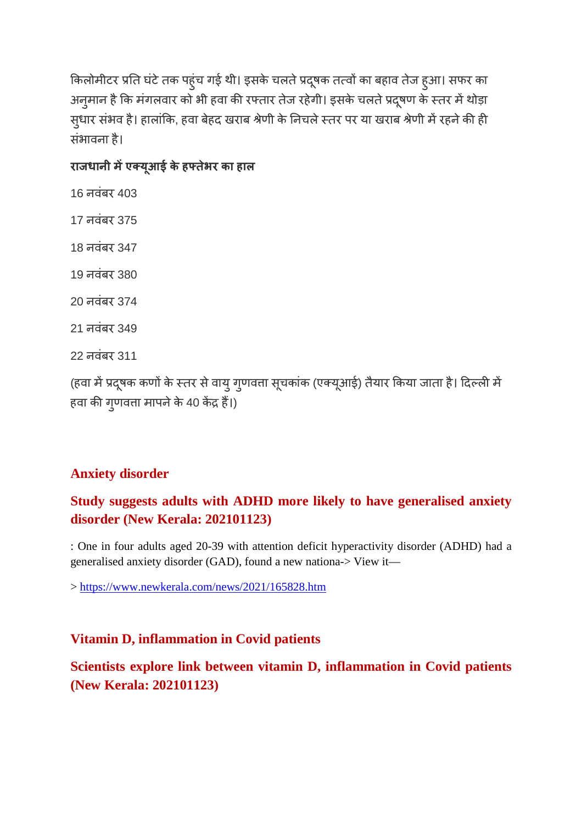किलोमीटर प्रति घंटे तक पहुंच गई थी। इसके चलते प्रदूषक तत्वों का बहाव तेज हुआ। सफर का अनुमान है कि मंगलवार को भी हवा की रफ्तार तेज रहेगी। इसके चलते प्रदूषण के स्तर में थोड़ा सुधार संभव है। हालांकि, हवा बेहद खराब श्रेणी के निचले स्तर पर या खराब श्रेणी में रहने की ही संभावना है।

# **राजधानी मएयूआई के हतेभर का हाल**

```
(हवा में प्रदूषक कणों के स्तर से वायु गुणवत्ता सूचकांक (एक्यूआई) तैयार किया जाता है। दिल्ली में
हवा की गुणवत्ता मापने के 40 केंद्र हैं।)
```
# **Anxiety disorder**

# **Study suggests adults with ADHD more likely to have generalised anxiety disorder (New Kerala: 202101123)**

: One in four adults aged 20-39 with attention deficit hyperactivity disorder (ADHD) had a generalised anxiety disorder (GAD), found a new nationa-> View it—

> https://www.newkerala.com/news/2021/165828.htm

# **Vitamin D, inflammation in Covid patients**

**Scientists explore link between vitamin D, inflammation in Covid patients (New Kerala: 202101123)**